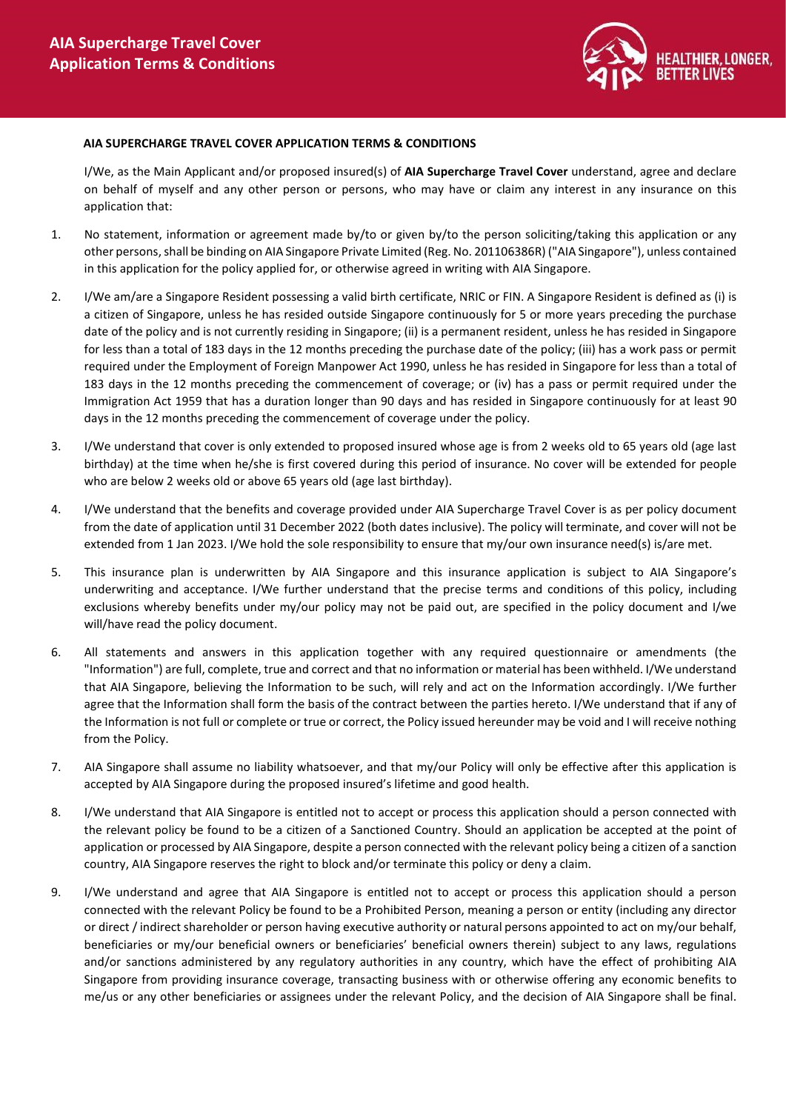

## AIA SUPERCHARGE TRAVEL COVER APPLICATION TERMS & CONDITIONS

I/We, as the Main Applicant and/or proposed insured(s) of AIA Supercharge Travel Cover understand, agree and declare on behalf of myself and any other person or persons, who may have or claim any interest in any insurance on this application that:

- 1. No statement, information or agreement made by/to or given by/to the person soliciting/taking this application or any other persons, shall be binding on AIA Singapore Private Limited (Reg. No. 201106386R) ("AIA Singapore"), unless contained in this application for the policy applied for, or otherwise agreed in writing with AIA Singapore.
- 2. I/We am/are a Singapore Resident possessing a valid birth certificate, NRIC or FIN. A Singapore Resident is defined as (i) is a citizen of Singapore, unless he has resided outside Singapore continuously for 5 or more years preceding the purchase date of the policy and is not currently residing in Singapore; (ii) is a permanent resident, unless he has resided in Singapore for less than a total of 183 days in the 12 months preceding the purchase date of the policy; (iii) has a work pass or permit required under the Employment of Foreign Manpower Act 1990, unless he has resided in Singapore for less than a total of 183 days in the 12 months preceding the commencement of coverage; or (iv) has a pass or permit required under the Immigration Act 1959 that has a duration longer than 90 days and has resided in Singapore continuously for at least 90 days in the 12 months preceding the commencement of coverage under the policy.
- 3. I/We understand that cover is only extended to proposed insured whose age is from 2 weeks old to 65 years old (age last birthday) at the time when he/she is first covered during this period of insurance. No cover will be extended for people who are below 2 weeks old or above 65 years old (age last birthday).
- 4. I/We understand that the benefits and coverage provided under AIA Supercharge Travel Cover is as per policy document from the date of application until 31 December 2022 (both dates inclusive). The policy will terminate, and cover will not be extended from 1 Jan 2023. I/We hold the sole responsibility to ensure that my/our own insurance need(s) is/are met.
- 5. This insurance plan is underwritten by AIA Singapore and this insurance application is subject to AIA Singapore's underwriting and acceptance. I/We further understand that the precise terms and conditions of this policy, including exclusions whereby benefits under my/our policy may not be paid out, are specified in the policy document and I/we will/have read the policy document.
- 6. All statements and answers in this application together with any required questionnaire or amendments (the "Information") are full, complete, true and correct and that no information or material has been withheld. I/We understand that AIA Singapore, believing the Information to be such, will rely and act on the Information accordingly. I/We further agree that the Information shall form the basis of the contract between the parties hereto. I/We understand that if any of the Information is not full or complete or true or correct, the Policy issued hereunder may be void and I will receive nothing from the Policy.
- 7. AIA Singapore shall assume no liability whatsoever, and that my/our Policy will only be effective after this application is accepted by AIA Singapore during the proposed insured's lifetime and good health.
- 8. I/We understand that AIA Singapore is entitled not to accept or process this application should a person connected with the relevant policy be found to be a citizen of a Sanctioned Country. Should an application be accepted at the point of application or processed by AIA Singapore, despite a person connected with the relevant policy being a citizen of a sanction country, AIA Singapore reserves the right to block and/or terminate this policy or deny a claim.
- 9. I/We understand and agree that AIA Singapore is entitled not to accept or process this application should a person connected with the relevant Policy be found to be a Prohibited Person, meaning a person or entity (including any director or direct / indirect shareholder or person having executive authority or natural persons appointed to act on my/our behalf, beneficiaries or my/our beneficial owners or beneficiaries' beneficial owners therein) subject to any laws, regulations and/or sanctions administered by any regulatory authorities in any country, which have the effect of prohibiting AIA Singapore from providing insurance coverage, transacting business with or otherwise offering any economic benefits to me/us or any other beneficiaries or assignees under the relevant Policy, and the decision of AIA Singapore shall be final.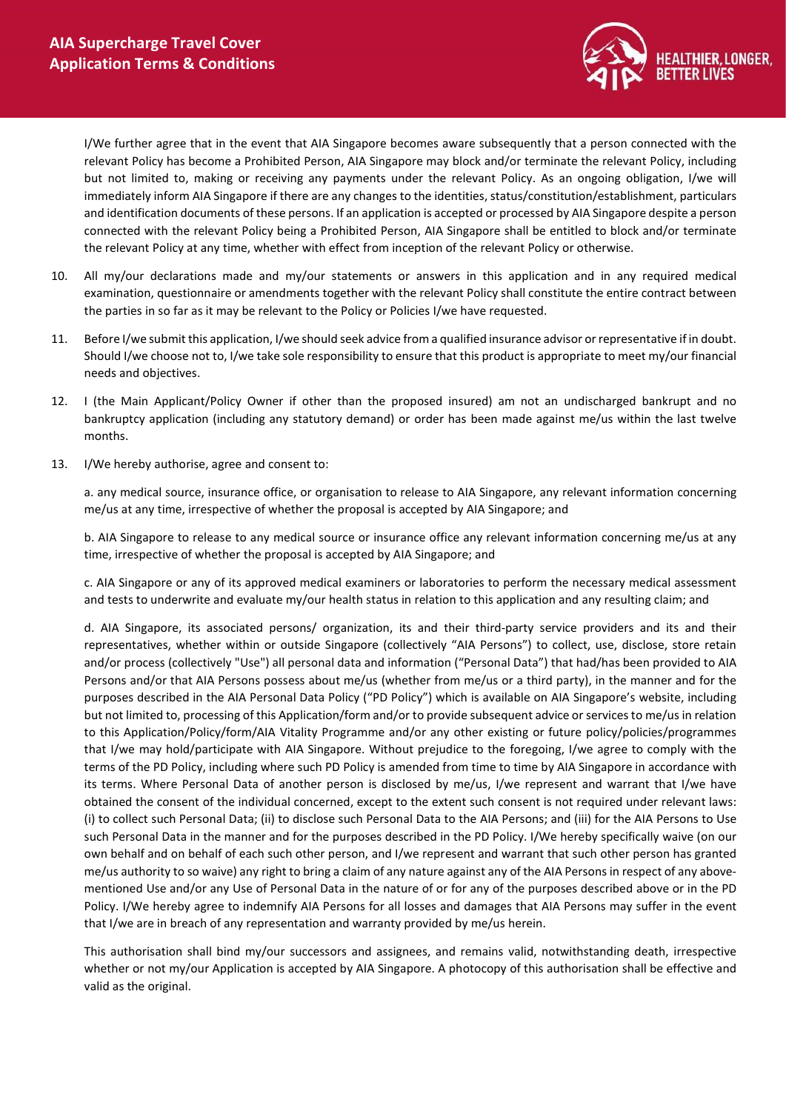

I/We further agree that in the event that AIA Singapore becomes aware subsequently that a person connected with the relevant Policy has become a Prohibited Person, AIA Singapore may block and/or terminate the relevant Policy, including but not limited to, making or receiving any payments under the relevant Policy. As an ongoing obligation, I/we will immediately inform AIA Singapore if there are any changes to the identities, status/constitution/establishment, particulars and identification documents of these persons. If an application is accepted or processed by AIA Singapore despite a person connected with the relevant Policy being a Prohibited Person, AIA Singapore shall be entitled to block and/or terminate the relevant Policy at any time, whether with effect from inception of the relevant Policy or otherwise.

- 10. All my/our declarations made and my/our statements or answers in this application and in any required medical examination, questionnaire or amendments together with the relevant Policy shall constitute the entire contract between the parties in so far as it may be relevant to the Policy or Policies I/we have requested.
- 11. Before I/we submit this application, I/we should seek advice from a qualified insurance advisor or representative if in doubt. Should I/we choose not to, I/we take sole responsibility to ensure that this product is appropriate to meet my/our financial needs and objectives.
- 12. I (the Main Applicant/Policy Owner if other than the proposed insured) am not an undischarged bankrupt and no bankruptcy application (including any statutory demand) or order has been made against me/us within the last twelve months.
- 13. I/We hereby authorise, agree and consent to:

a. any medical source, insurance office, or organisation to release to AIA Singapore, any relevant information concerning me/us at any time, irrespective of whether the proposal is accepted by AIA Singapore; and

b. AIA Singapore to release to any medical source or insurance office any relevant information concerning me/us at any time, irrespective of whether the proposal is accepted by AIA Singapore; and

c. AIA Singapore or any of its approved medical examiners or laboratories to perform the necessary medical assessment and tests to underwrite and evaluate my/our health status in relation to this application and any resulting claim; and

d. AIA Singapore, its associated persons/ organization, its and their third-party service providers and its and their representatives, whether within or outside Singapore (collectively "AIA Persons") to collect, use, disclose, store retain and/or process (collectively "Use") all personal data and information ("Personal Data") that had/has been provided to AIA Persons and/or that AIA Persons possess about me/us (whether from me/us or a third party), in the manner and for the purposes described in the AIA Personal Data Policy ("PD Policy") which is available on AIA Singapore's website, including but not limited to, processing of this Application/form and/or to provide subsequent advice or services to me/us in relation to this Application/Policy/form/AIA Vitality Programme and/or any other existing or future policy/policies/programmes that I/we may hold/participate with AIA Singapore. Without prejudice to the foregoing, I/we agree to comply with the terms of the PD Policy, including where such PD Policy is amended from time to time by AIA Singapore in accordance with its terms. Where Personal Data of another person is disclosed by me/us, I/we represent and warrant that I/we have obtained the consent of the individual concerned, except to the extent such consent is not required under relevant laws: (i) to collect such Personal Data; (ii) to disclose such Personal Data to the AIA Persons; and (iii) for the AIA Persons to Use such Personal Data in the manner and for the purposes described in the PD Policy. I/We hereby specifically waive (on our own behalf and on behalf of each such other person, and I/we represent and warrant that such other person has granted me/us authority to so waive) any right to bring a claim of any nature against any of the AIA Persons in respect of any abovementioned Use and/or any Use of Personal Data in the nature of or for any of the purposes described above or in the PD Policy. I/We hereby agree to indemnify AIA Persons for all losses and damages that AIA Persons may suffer in the event that I/we are in breach of any representation and warranty provided by me/us herein.

This authorisation shall bind my/our successors and assignees, and remains valid, notwithstanding death, irrespective whether or not my/our Application is accepted by AIA Singapore. A photocopy of this authorisation shall be effective and valid as the original.